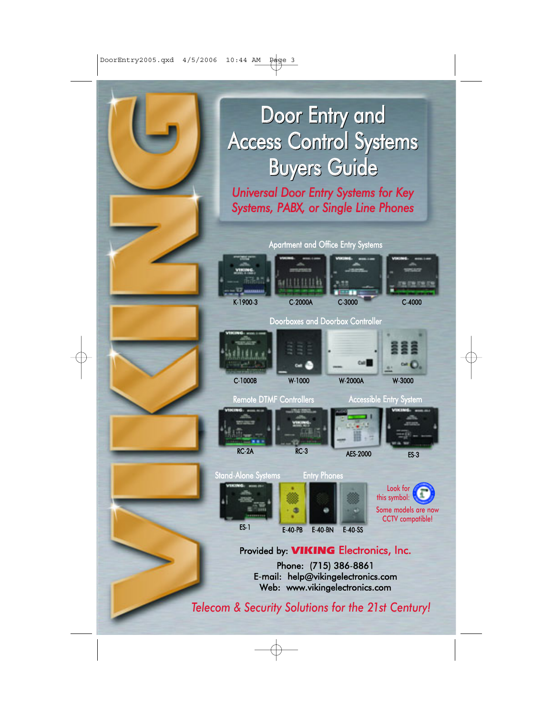# Door Entry and Access Control Systems Door Entry andAccess Control Systems Buyers Guide Buyers Guide

*Universal Door Entry Systems for Key Systems, PABX, or Single Line Phones*

Apartment and Office Entry Systems











Remote DTMF Controllers **Accessible Entry System** 







#### Provided by: **VIKING** Electronics, Inc.

Phone: (715) 386-8861 E-mail: help@vikingelectronics.com Web: www.vikingelectronics.com

*Telecom & Security Solutions for the 21st Century!*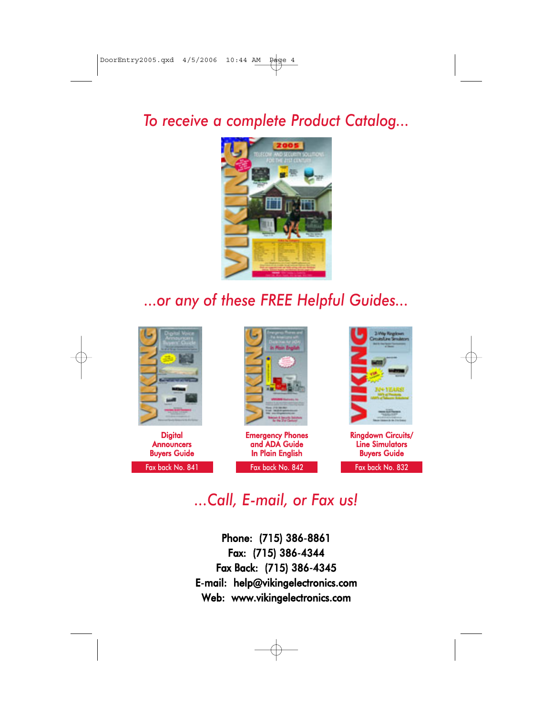## *To receive a complete Product Catalog...*



# *...or any of these FREE Helpful Guides...*



**Digital Announcers** Buyers Guide Fax back No. 841 Fax back No. 842



Emergency Phones and ADA Guide In Plain English



Ringdown Circuits/ Line Simulators Buyers Guide

Fax back No. 832

## *...Call, E-mail, or Fax us!*

Phone: (715) 386-8861 Fax: (715) 386-4344 Fax Back: (715) 386-4345 E-mail: help@vikingelectronics.com Web: www.vikingelectronics.com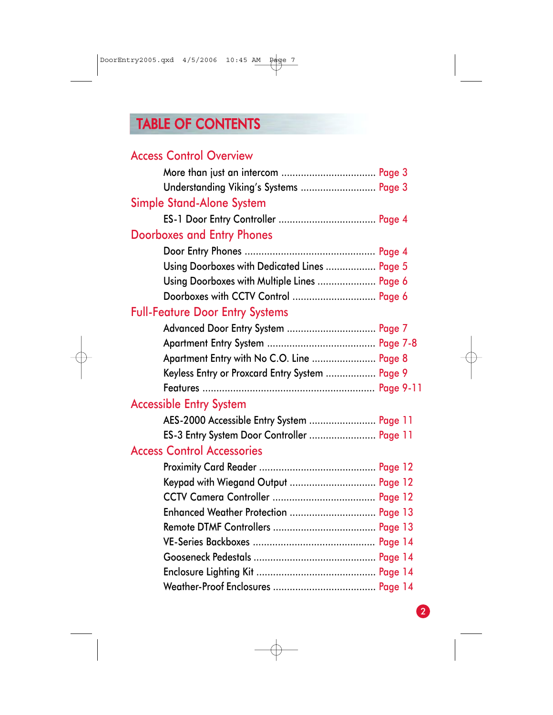# TABLE OF CONTENTS

| <b>Access Control Overview</b>                 |  |
|------------------------------------------------|--|
|                                                |  |
| Understanding Viking's Systems  Page 3         |  |
| <b>Simple Stand-Alone System</b>               |  |
|                                                |  |
| <b>Doorboxes and Entry Phones</b>              |  |
|                                                |  |
| Using Doorboxes with Dedicated Lines  Page 5   |  |
| Using Doorboxes with Multiple Lines  Page 6    |  |
| Doorboxes with CCTV Control  Page 6            |  |
| <b>Full-Feature Door Entry Systems</b>         |  |
| Advanced Door Entry System  Page 7             |  |
|                                                |  |
| Apartment Entry with No C.O. Line  Page 8      |  |
| Keyless Entry or Proxcard Entry System  Page 9 |  |
|                                                |  |
| <b>Accessible Entry System</b>                 |  |
| AES-2000 Accessible Entry System  Page 11      |  |
| ES-3 Entry System Door Controller  Page 11     |  |
| <b>Access Control Accessories</b>              |  |
|                                                |  |
| Keypad with Wiegand Output  Page 12            |  |
|                                                |  |
| Enhanced Weather Protection  Page 13           |  |
|                                                |  |
|                                                |  |
|                                                |  |
|                                                |  |
|                                                |  |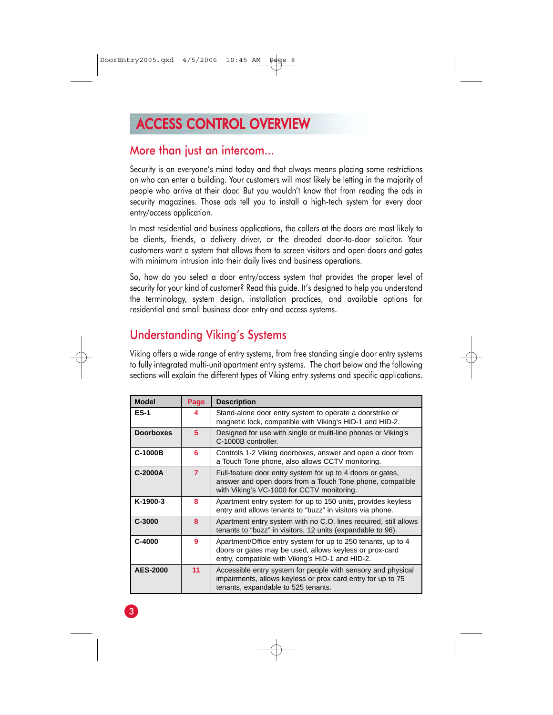# ACCESS CONTROL OVERVIEW

#### More than just an intercom...

Security is on everyone's mind today and that always means placing some restrictions on who can enter a building. Your customers will most likely be letting in the majority of people who arrive at their door. But you wouldn't know that from reading the ads in security magazines. Those ads tell you to install a high-tech system for every door entry/access application.

In most residential and business applications, the callers at the doors are most likely to be clients, friends, a delivery driver, or the dreaded door-to-door solicitor. Your customers want a system that allows them to screen visitors and open doors and gates with minimum intrusion into their daily lives and business operations.

So, how do you select a door entry/access system that provides the proper level of security for your kind of customer? Read this guide. It's designed to help you understand the terminology, system design, installation practices, and available options for residential and small business door entry and access systems.

## Understanding Viking's Systems

Viking offers a wide range of entry systems, from free standing single door entry systems to fully integrated multi-unit apartment entry systems. The chart below and the following sections will explain the different types of Viking entry systems and specific applications.

| <b>Model</b>     | Page           | <b>Description</b>                                                                                                                                                          |
|------------------|----------------|-----------------------------------------------------------------------------------------------------------------------------------------------------------------------------|
| $ES-1$           | 4              | Stand-alone door entry system to operate a doorstrike or<br>magnetic lock, compatible with Viking's HID-1 and HID-2.                                                        |
| <b>Doorboxes</b> | 5              | Designed for use with single or multi-line phones or Viking's<br>C-1000B controller.                                                                                        |
| C-1000B          | 6              | Controls 1-2 Viking doorboxes, answer and open a door from<br>a Touch Tone phone, also allows CCTV monitoring.                                                              |
| C-2000A          | $\overline{7}$ | Full-feature door entry system for up to 4 doors or gates,<br>answer and open doors from a Touch Tone phone, compatible<br>with Viking's VC-1000 for CCTV monitoring.       |
| K-1900-3         | 8              | Apartment entry system for up to 150 units, provides keyless<br>entry and allows tenants to "buzz" in visitors via phone.                                                   |
| $C-3000$         | 8              | Apartment entry system with no C.O. lines required, still allows<br>tenants to "buzz" in visitors, 12 units (expandable to 96).                                             |
| $C-4000$         | 9              | Apartment/Office entry system for up to 250 tenants, up to 4<br>doors or gates may be used, allows keyless or prox-card<br>entry, compatible with Viking's HID-1 and HID-2. |
| <b>AES-2000</b>  | 11             | Accessible entry system for people with sensory and physical<br>impairments, allows keyless or prox card entry for up to 75<br>tenants, expandable to 525 tenants.          |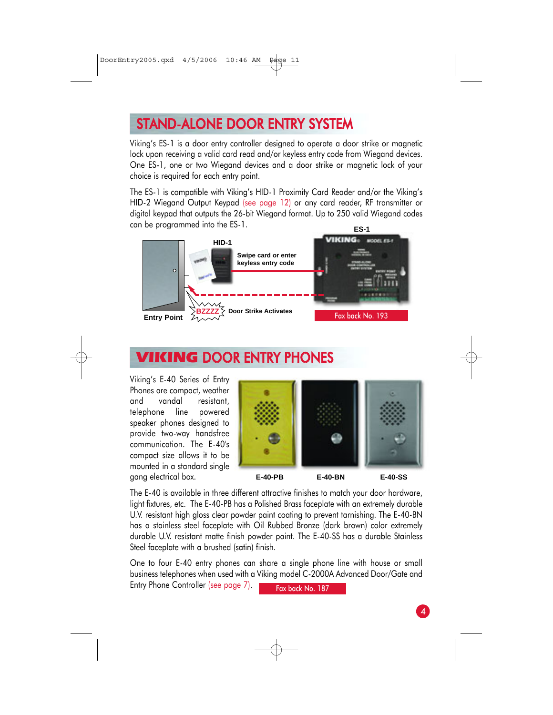# STAND-ALONE DOOR ENTRY SYSTEM

Viking's ES-1 is a door entry controller designed to operate a door strike or magnetic lock upon receiving a valid card read and/or keyless entry code from Wiegand devices. One ES-1, one or two Wiegand devices and a door strike or magnetic lock of your choice is required for each entry point.

The ES-1 is compatible with Viking's HID-1 Proximity Card Reader and/or the Viking's HID-2 Wiegand Output Keypad (see page 12) or any card reader, RF transmitter or digital keypad that outputs the 26-bit Wiegand format. Up to 250 valid Wiegand codes can be programmed into the ES-1. **ES-1**



# **VIKING DOOR ENTRY PHONES**

Viking's E-40 Series of Entry Phones are compact, weather and vandal resistant, telephone line powered speaker phones designed to provide two-way handsfree communication. The E-40's compact size allows it to be mounted in a standard single gang electrical box.



The E-40 is available in three different attractive finishes to match your door hardware, light fixtures, etc. The E-40-PB has a Polished Brass faceplate with an extremely durable U.V. resistant high gloss clear powder paint coating to prevent tarnishing. The E-40-BN has a stainless steel faceplate with Oil Rubbed Bronze (dark brown) color extremely durable U.V. resistant matte finish powder paint. The E-40-SS has a durable Stainless Steel faceplate with a brushed (satin) finish.

One to four E-40 entry phones can share a single phone line with house or small business telephones when used with a Viking model C-2000A Advanced Door/Gate and Entry Phone Controller (see page 7). Fax back No. 187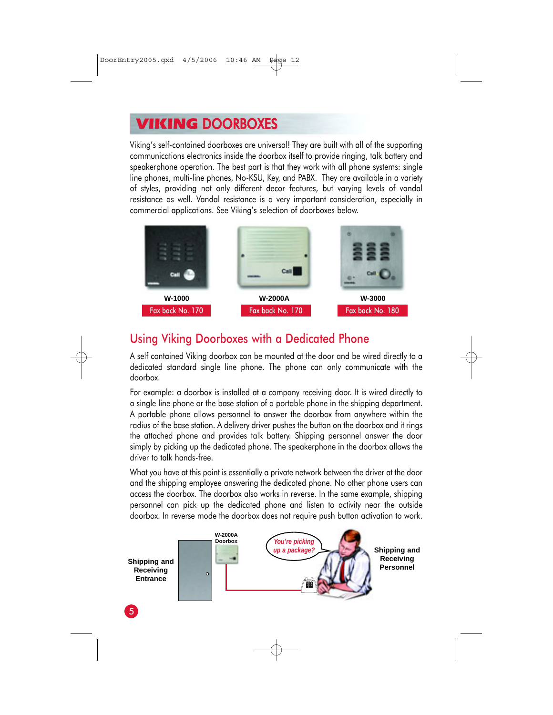## VIKING DOORBOXES

Viking's self-contained doorboxes are universal! They are built with all of the supporting communications electronics inside the doorbox itself to provide ringing, talk battery and speakerphone operation. The best part is that they work with all phone systems: single line phones, multi-line phones, No-KSU, Key, and PABX. They are available in a variety of styles, providing not only different decor features, but varying levels of vandal resistance as well. Vandal resistance is a very important consideration, especially in commercial applications. See Viking's selection of doorboxes below.



#### Using Viking Doorboxes with a Dedicated Phone

A self contained Viking doorbox can be mounted at the door and be wired directly to a dedicated standard single line phone. The phone can only communicate with the doorbox.

For example: a doorbox is installed at a company receiving door. It is wired directly to a single line phone or the base station of a portable phone in the shipping department. A portable phone allows personnel to answer the doorbox from anywhere within the radius of the base station. A delivery driver pushes the button on the doorbox and it rings the attached phone and provides talk battery. Shipping personnel answer the door simply by picking up the dedicated phone. The speakerphone in the doorbox allows the driver to talk hands-free.

What you have at this point is essentially a private network between the driver at the door and the shipping employee answering the dedicated phone. No other phone users can access the doorbox. The doorbox also works in reverse. In the same example, shipping personnel can pick up the dedicated phone and listen to activity near the outside doorbox. In reverse mode the doorbox does not require push button activation to work.

**Shipping and Receiving Entrance**





**Receiving Personnel**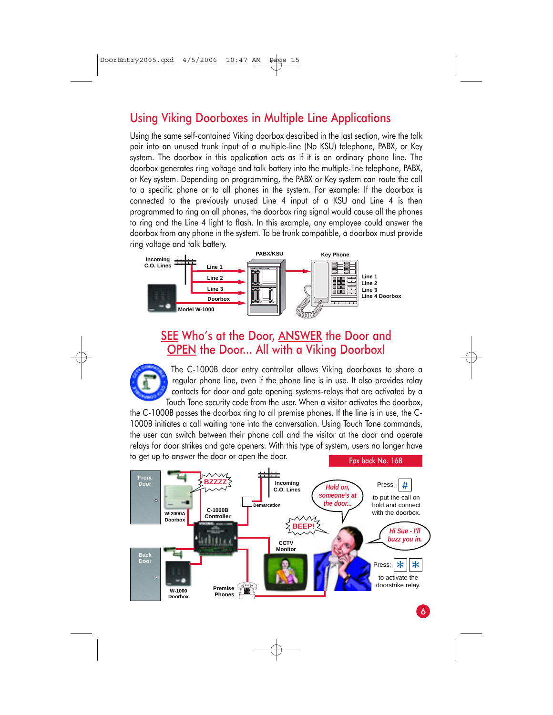#### Using Viking Doorboxes in Multiple Line Applications

Using the same self-contained Viking doorbox described in the last section, wire the talk pair into an unused trunk input of a multiple-line (No KSU) telephone, PABX, or Key system. The doorbox in this application acts as if it is an ordinary phone line. The doorbox generates ring voltage and talk battery into the multiple-line telephone, PABX, or Key system. Depending on programming, the PABX or Key system can route the call to a specific phone or to all phones in the system. For example: If the doorbox is connected to the previously unused Line 4 input of a KSU and Line 4 is then programmed to ring on all phones, the doorbox ring signal would cause all the phones to ring and the Line 4 light to flash. In this example, any employee could answer the doorbox from any phone in the system. To be trunk compatible, a doorbox must provide ring voltage and talk battery.



#### SEE Who's at the Door, ANSWER the Door and OPEN the Door... All with a Viking Doorbox!



The C-1000B door entry controller allows Viking doorboxes to share a regular phone line, even if the phone line is in use. It also provides relay contacts for door and gate opening systems-relays that are activated by a Touch Tone security code from the user. When a visitor activates the doorbox,

the C-1000B passes the doorbox ring to all premise phones. If the line is in use, the C-1000B initiates a call waiting tone into the conversation. Using Touch Tone commands, the user can switch between their phone call and the visitor at the door and operate relays for door strikes and gate openers. With this type of system, users no longer have to get up to answer the door or open the door. Fax back No. 168



6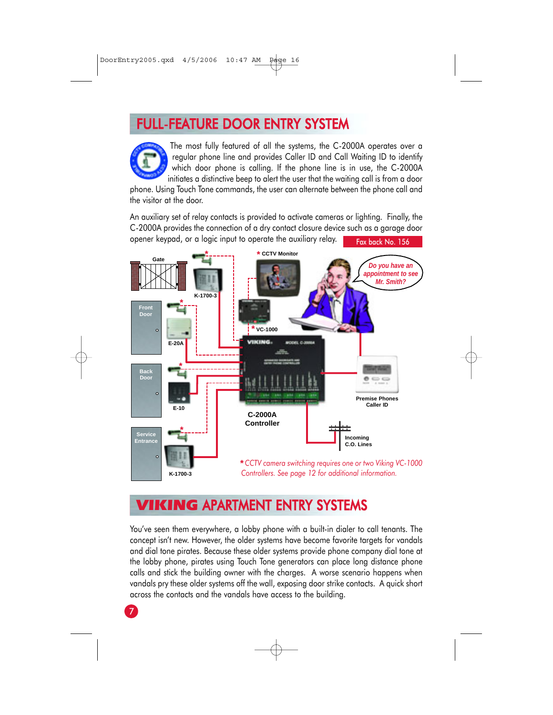## FULL-FEATURE DOOR ENTRY SYSTEM



The most fully featured of all the systems, the C-2000A operates over a regular phone line and provides Caller ID and Call Waiting ID to identify which door phone is calling. If the phone line is in use, the C-2000A initiates a distinctive beep to alert the user that the waiting call is from a door

phone. Using Touch Tone commands, the user can alternate between the phone call and the visitor at the door.

An auxiliary set of relay contacts is provided to activate cameras or lighting. Finally, the C-2000A provides the connection of a dry contact closure device such as a garage door opener keypad, or a logic input to operate the auxiliary relay. Fax back No. 156



## **KING APARTMENT ENTRY SYSTEMS**

You've seen them everywhere, a lobby phone with a built-in dialer to call tenants. The concept isn't new. However, the older systems have become favorite targets for vandals and dial tone pirates. Because these older systems provide phone company dial tone at the lobby phone, pirates using Touch Tone generators can place long distance phone calls and stick the building owner with the charges. A worse scenario happens when vandals pry these older systems off the wall, exposing door strike contacts. A quick short across the contacts and the vandals have access to the building.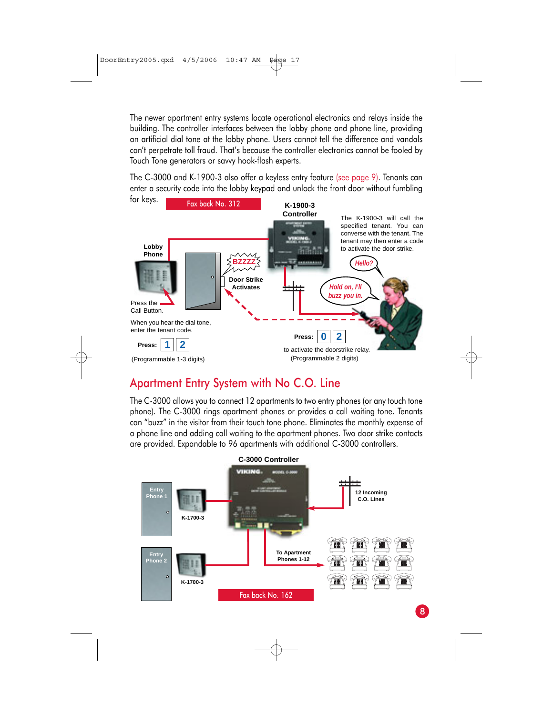The newer apartment entry systems locate operational electronics and relays inside the building. The controller interfaces between the lobby phone and phone line, providing an artificial dial tone at the lobby phone. Users cannot tell the difference and vandals can't perpetrate toll fraud. That's because the controller electronics cannot be fooled by Touch Tone generators or savvy hook-flash experts.

The C-3000 and K-1900-3 also offer a keyless entry feature (see page 9). Tenants can enter a security code into the lobby keypad and unlock the front door without fumbling



#### Apartment Entry System with No C.O. Line

The C-3000 allows you to connect 12 apartments to two entry phones (or any touch tone phone). The C-3000 rings apartment phones or provides a call waiting tone. Tenants can "buzz" in the visitor from their touch tone phone. Eliminates the monthly expense of a phone line and adding call waiting to the apartment phones. Two door strike contacts are provided. Expandable to 96 apartments with additional C-3000 controllers.

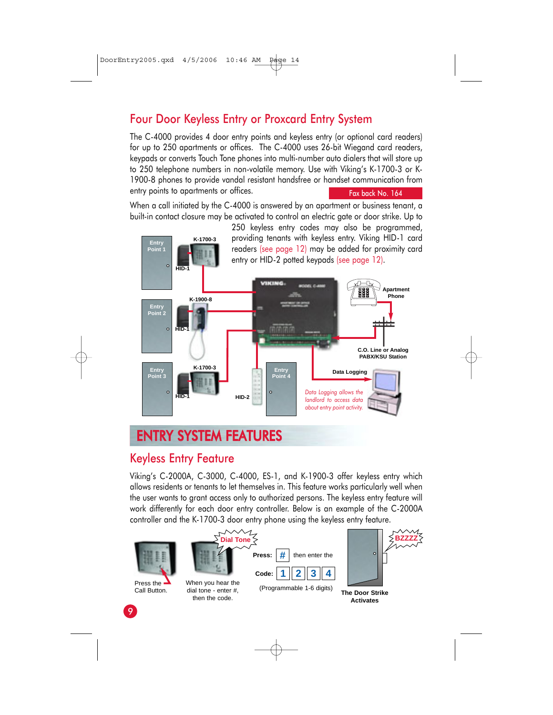#### Four Door Keyless Entry or Proxcard Entry System

The C-4000 provides 4 door entry points and keyless entry (or optional card readers) for up to 250 apartments or offices. The C-4000 uses 26-bit Wiegand card readers, keypads or converts Touch Tone phones into multi-number auto dialers that will store up to 250 telephone numbers in non-volatile memory. Use with Viking's K-1700-3 or K-1900-8 phones to provide vandal resistant handsfree or handset communication from entry points to apartments or offices. Fax back No. 164

When a call initiated by the C-4000 is answered by an apartment or business tenant, a built-in contact closure may be activated to control an electric gate or door strike. Up to



## ENTRY SYSTEM FEATURES

#### Keyless Entry Feature

Viking's C-2000A, C-3000, C-4000, ES-1, and K-1900-3 offer keyless entry which allows residents or tenants to let themselves in. This feature works particularly well when the user wants to grant access only to authorized persons. The keyless entry feature will work differently for each door entry controller. Below is an example of the C-2000A controller and the K-1700-3 door entry phone using the keyless entry feature.

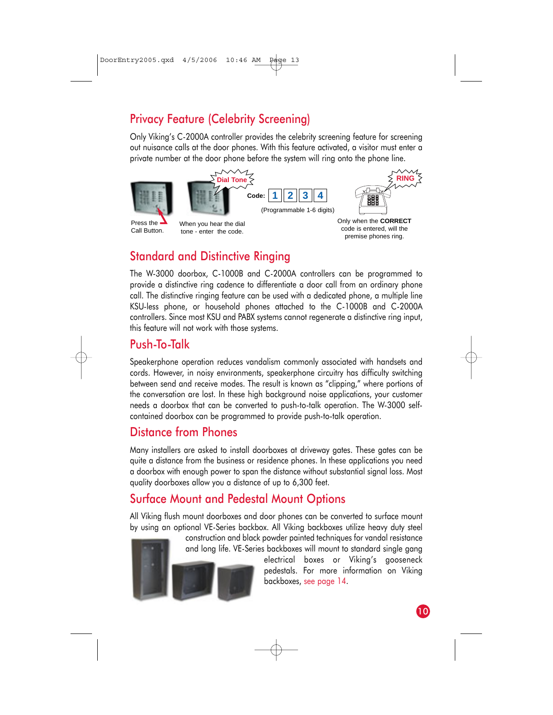## Privacy Feature (Celebrity Screening)

Only Viking's C-2000A controller provides the celebrity screening feature for screening out nuisance calls at the door phones. With this feature activated, a visitor must enter a private number at the door phone before the system will ring onto the phone line.



(Programmable 1-6 digits) **Code: 1 2 3 4 Dial Tone**



Press the Call Button.

When you hear the dial tone - enter the code.

Only when the **CORRECT** code is entered, will the premise phones ring.

### Standard and Distinctive Ringing

The W-3000 doorbox, C-1000B and C-2000A controllers can be programmed to provide a distinctive ring cadence to differentiate a door call from an ordinary phone call. The distinctive ringing feature can be used with a dedicated phone, a multiple line KSU-less phone, or household phones attached to the C-1000B and C-2000A controllers. Since most KSU and PABX systems cannot regenerate a distinctive ring input, this feature will not work with those systems.

#### Push-To-Talk

Speakerphone operation reduces vandalism commonly associated with handsets and cords. However, in noisy environments, speakerphone circuitry has difficulty switching between send and receive modes. The result is known as "clipping," where portions of the conversation are lost. In these high background noise applications, your customer needs a doorbox that can be converted to push-to-talk operation. The W-3000 selfcontained doorbox can be programmed to provide push-to-talk operation.

#### Distance from Phones

Many installers are asked to install doorboxes at driveway gates. These gates can be quite a distance from the business or residence phones. In these applications you need a doorbox with enough power to span the distance without substantial signal loss. Most quality doorboxes allow you a distance of up to 6,300 feet.

#### Surface Mount and Pedestal Mount Options

All Viking flush mount doorboxes and door phones can be converted to surface mount by using an optional VE-Series backbox. All Viking backboxes utilize heavy duty steel





construction and black powder painted techniques for vandal resistance and long life. VE-Series backboxes will mount to standard single gang

electrical boxes or Viking's gooseneck pedestals. For more information on Viking backboxes, see page 14.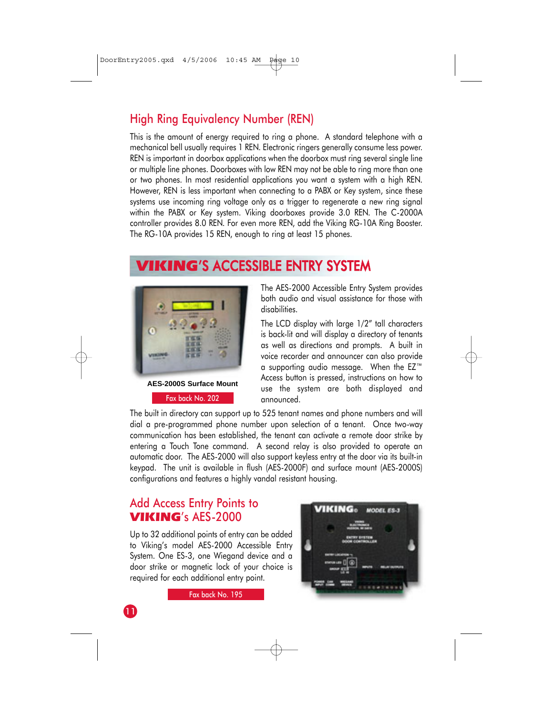### High Ring Equivalency Number (REN)

This is the amount of energy required to ring a phone. A standard telephone with a mechanical bell usually requires 1 REN. Electronic ringers generally consume less power. REN is important in doorbox applications when the doorbox must ring several single line or multiple line phones. Doorboxes with low REN may not be able to ring more than one or two phones. In most residential applications you want a system with a high REN. However, REN is less important when connecting to a PABX or Key system, since these systems use incoming ring voltage only as a trigger to regenerate a new ring signal within the PABX or Key system. Viking doorboxes provide 3.0 REN. The C-2000A controller provides 8.0 REN. For even more REN, add the Viking RG-10A Ring Booster. The RG-10A provides 15 REN, enough to ring at least 15 phones.

## VIKING'S ACCESSIBLE ENTRY SYSTEM



Fax back No. 202

The AES-2000 Accessible Entry System provides both audio and visual assistance for those with disabilities.

The LCD display with large 1/2" tall characters is back-lit and will display a directory of tenants as well as directions and prompts. A built in voice recorder and announcer can also provide a supporting audio message. When the EZ™ Access button is pressed, instructions on how to use the system are both displayed and announced.

The built in directory can support up to 525 tenant names and phone numbers and will dial a pre-programmed phone number upon selection of a tenant. Once two-way communication has been established, the tenant can activate a remote door strike by entering a Touch Tone command. A second relay is also provided to operate an automatic door. The AES-2000 will also support keyless entry at the door via its built-in keypad. The unit is available in flush (AES-2000F) and surface mount (AES-2000S) configurations and features a highly vandal resistant housing.

#### Add Access Entry Points to VIKING's AES-2000

Up to 32 additional points of entry can be added to Viking's model AES-2000 Accessible Entry System. One ES-3, one Wiegand device and a door strike or magnetic lock of your choice is required for each additional entry point.

Fax back No. 195

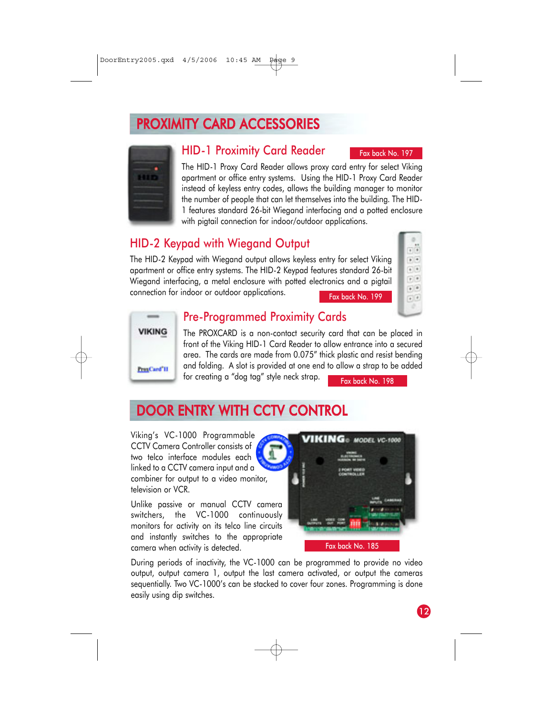## PROXIMITY CARD ACCESSORIES



#### HID-1 Proximity Card Reader

The HID-1 Proxy Card Reader allows proxy card entry for select Viking apartment or office entry systems. Using the HID-1 Proxy Card Reader instead of keyless entry codes, allows the building manager to monitor the number of people that can let themselves into the building. The HID-1 features standard 26-bit Wiegand interfacing and a potted enclosure with pigtail connection for indoor/outdoor applications.

#### HID-2 Keypad with Wiegand Output

The HID-2 Keypad with Wiegand output allows keyless entry for select Viking apartment or office entry systems. The HID-2 Keypad features standard 26-bit Wiegand interfacing, a metal enclosure with potted electronics and a pigtail connection for indoor or outdoor applications.

 $\frac{1}{2}$  $\bullet$  $\bullet$   $\bullet$  $r$   $*$  $\bullet$   $\mid$   $\bullet$  $\overline{\cdot}$ 

Fax back No. 197



#### Pre-Programmed Proximity Cards

The PROXCARD is a non-contact security card that can be placed in front of the Viking HID-1 Card Reader to allow entrance into a secured area. The cards are made from 0.075" thick plastic and resist bending and folding. A slot is provided at one end to allow a strap to be added for creating a "dog tag" style neck strap. Fax back No. 198

## DOOR ENTRY WITH CCTV CONTROL

Viking's VC-1000 Programmable CCTV Camera Controller consists of Ā two telco interface modules each linked to a CCTV camera input and a combiner for output to a video monitor, television or VCR.

Unlike passive or manual CCTV camera switchers, the VC-1000 continuously monitors for activity on its telco line circuits and instantly switches to the appropriate camera when activity is detected.



During periods of inactivity, the VC-1000 can be programmed to provide no video output, output camera 1, output the last camera activated, or output the cameras sequentially. Two VC-1000's can be stacked to cover four zones. Programming is done easily using dip switches.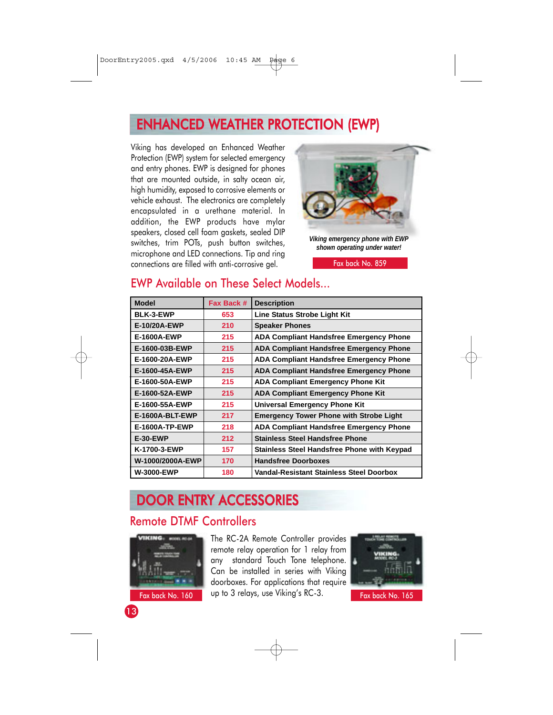## ENHANCED WEATHER PROTECTION (EWP)

Viking has developed an Enhanced Weather Protection (EWP) system for selected emergency and entry phones. EWP is designed for phones that are mounted outside, in salty ocean air, high humidity, exposed to corrosive elements or vehicle exhaust. The electronics are completely encapsulated in a urethane material. In addition, the EWP products have mylar speakers, closed cell foam gaskets, sealed DIP switches, trim POTs, push button switches, microphone and LED connections. Tip and ring connections are filled with anti-corrosive gel.



*Viking emergency phone with EWP shown operating under water!*

Fax back No. 859

#### **Model BLK-3-EWP E-10/20A-EWP E-1600A-EWP E-1600-03B-EWP E-1600-20A-EWP E-1600-45A-EWP E-1600-50A-EWP E-1600-52A-EWP E-1600-55A-EWP E-1600A-BLT-EWP E-1600A-TP-EWP E-30-EWP K-1700-3-EWP W-1000/2000A-EWP W-3000-EWP Fax Back # 653 210 215 215 215 215 215 215 215 217 218 212 157 170 180 Description Line Status Strobe Light Kit Speaker Phones ADA Compliant Handsfree Emergency Phone ADA Compliant Handsfree Emergency Phone ADA Compliant Handsfree Emergency Phone ADA Compliant Handsfree Emergency Phone ADA Compliant Emergency Phone Kit ADA Compliant Emergency Phone Kit Universal Emergency Phone Kit Emergency Tower Phone with Strobe Light ADA Compliant Handsfree Emergency Phone Stainless Steel Handsfree Phone Stainless Steel Handsfree Phone with Keypad Handsfree Doorboxes Vandal-Resistant Stainless Steel Doorbox**

#### EWP Available on These Select Models...

## DOOR ENTRY ACCESSORIES

#### Remote DTMF Controllers



The RC-2A Remote Controller provides remote relay operation for 1 relay from any standard Touch Tone telephone. Can be installed in series with Viking doorboxes. For applications that require Fax back No. 160  $\parallel$  up to 3 relays, use Viking's RC-3. Fax back No. 165



13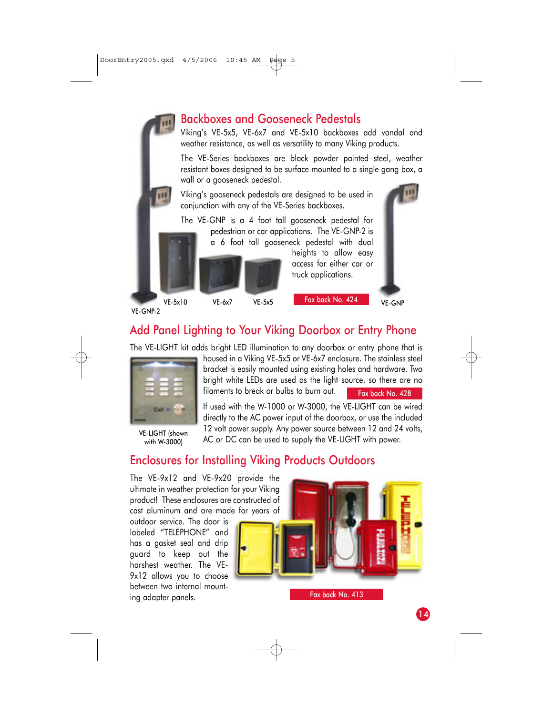#### Backboxes and Gooseneck Pedestals

Viking's VE-5x5, VE-6x7 and VE-5x10 backboxes add vandal and weather resistance, as well as versatility to many Viking products.

The VE-Series backboxes are black powder painted steel, weather resistant boxes designed to be surface mounted to a single gang box, a wall or a gooseneck pedestal.

Viking's gooseneck pedestals are designed to be used in conjunction with any of the VE-Series backboxes.

The VE-GNP is a 4 foot tall gooseneck pedestal for pedestrian or car applications. The VE-GNP-2 is

a 6 foot tall gooseneck pedestal with dual

heights to allow easy access for either car or truck applications.

VE-GNP-2

VE-5x10 VE-6x7 VE-5x5 LANDUCK NO. 424 VE-GNP

Fax back No. 424

## Add Panel Lighting to Your Viking Doorbox or Entry Phone

The VE-LIGHT kit adds bright LED illumination to any doorbox or entry phone that is



with W-3000)

housed in a Viking VE-5x5 or VE-6x7 enclosure. The stainless steel bracket is easily mounted using existing holes and hardware. Two bright white LEDs are used as the light source, so there are no filaments to break or bulbs to burn out.

Fax back No. 428

If used with the W-1000 or W-3000, the VE-LIGHT can be wired directly to the AC power input of the doorbox, or use the included 12 volt power supply. Any power source between 12 and 24 volts, VE-LIGHT (shown The volit power supply. Ally power source between 12 drid 24<br>With W.30001 AC or DC can be used to supply the VE-LIGHT with power.

### Enclosures for Installing Viking Products Outdoors

The VE-9x12 and VE-9x20 provide the ultimate in weather protection for your Viking product! These enclosures are constructed of cast aluminum and are made for years of

outdoor service. The door is labeled "TELEPHONE" and has a gasket seal and drip guard to keep out the harshest weather. The VE-9x12 allows you to choose between two internal mounting adapter panels.



Fax back No. 413